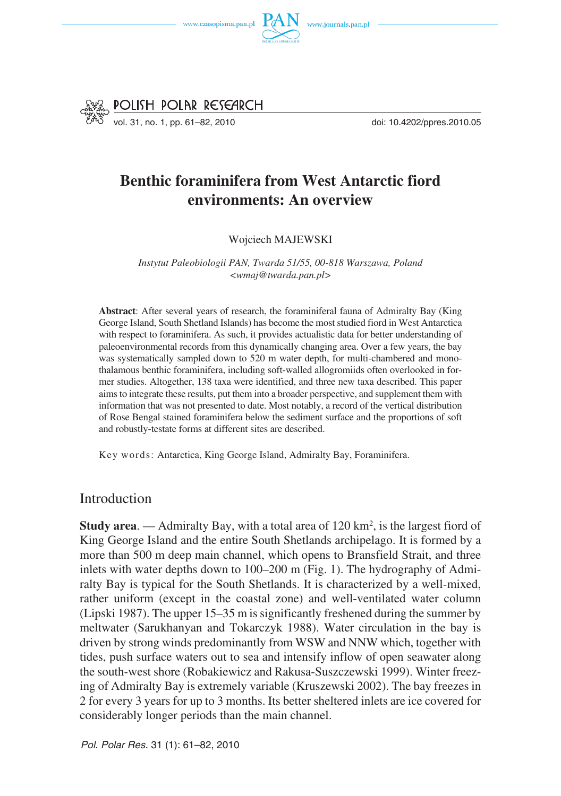



# **Benthic foraminifera from West Antarctic fiord environments: An overview**

Wojciech MAJEWSKI

*Instytut Paleobiologii PAN, Twarda 51/55, 00−818 Warszawa, Poland <wmaj@twarda.pan.pl>*

**Abstract**: After several years of research, the foraminiferal fauna of Admiralty Bay (King George Island, South Shetland Islands) has become the most studied fiord in West Antarctica with respect to foraminifera. As such, it provides actualistic data for better understanding of paleoenvironmental records from this dynamically changing area. Over a few years, the bay was systematically sampled down to 520 m water depth, for multi−chambered and mono− thalamous benthic foraminifera, including soft−walled allogromiids often overlooked in for− mer studies. Altogether, 138 taxa were identified, and three new taxa described. This paper aims to integrate these results, put them into a broader perspective, and supplement them with information that was not presented to date. Most notably, a record of the vertical distribution of Rose Bengal stained foraminifera below the sediment surface and the proportions of soft and robustly−testate forms at different sites are described.

Key words: Antarctica, King George Island, Admiralty Bay, Foraminifera.

Introduction

**Study area**. — Admiralty Bay, with a total area of 120 km2, is the largest fiord of King George Island and the entire South Shetlands archipelago. It is formed by a more than 500 m deep main channel, which opens to Bransfield Strait, and three inlets with water depths down to 100–200 m (Fig. 1). The hydrography of Admi− ralty Bay is typical for the South Shetlands. It is characterized by a well−mixed, rather uniform (except in the coastal zone) and well−ventilated water column (Lipski 1987). The upper 15–35 m is significantly freshened during the summer by meltwater (Sarukhanyan and Tokarczyk 1988). Water circulation in the bay is driven by strong winds predominantly from WSW and NNW which, together with tides, push surface waters out to sea and intensify inflow of open seawater along the south−west shore (Robakiewicz and Rakusa−Suszczewski 1999). Winter freez− ing of Admiralty Bay is extremely variable (Kruszewski 2002). The bay freezes in 2 for every 3 years for up to 3 months. Its better sheltered inlets are ice covered for considerably longer periods than the main channel.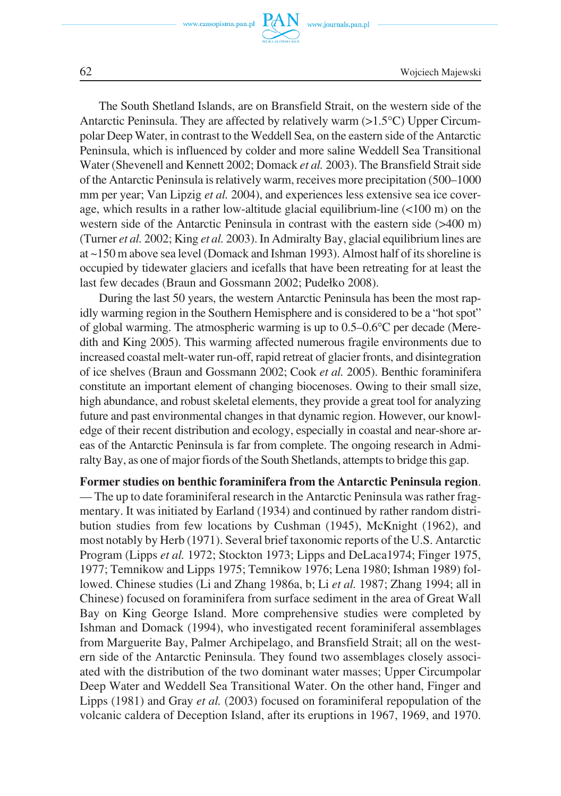

62 Wojciech Majewski

The South Shetland Islands, are on Bransfield Strait, on the western side of the Antarctic Peninsula. They are affected by relatively warm (>1.5°C) Upper Circumpolar Deep Water, in contrast to the Weddell Sea, on the eastern side of the Antarctic Peninsula, which is influenced by colder and more saline Weddell Sea Transitional Water (Shevenell and Kennett 2002; Domack *et al.* 2003). The Bransfield Strait side of the Antarctic Peninsula is relatively warm, receives more precipitation (500–1000 mm per year; Van Lipzig *et al.* 2004), and experiences less extensive sea ice coverage, which results in a rather low−altitude glacial equilibrium−line (<100 m) on the western side of the Antarctic Peninsula in contrast with the eastern side (>400 m) (Turner *et al.* 2002; King *et al.* 2003). In Admiralty Bay, glacial equilibrium lines are at ~150 m above sea level (Domack and Ishman 1993). Almost half of its shoreline is occupied by tidewater glaciers and icefalls that have been retreating for at least the last few decades (Braun and Gossmann 2002; Pudełko 2008).

During the last 50 years, the western Antarctic Peninsula has been the most rap− idly warming region in the Southern Hemisphere and is considered to be a "hot spot" of global warming. The atmospheric warming is up to 0.5–0.6°C per decade (Meredith and King 2005). This warming affected numerous fragile environments due to increased coastal melt−water run−off, rapid retreat of glacier fronts, and disintegration of ice shelves (Braun and Gossmann 2002; Cook *et al.* 2005). Benthic foraminifera constitute an important element of changing biocenoses. Owing to their small size, high abundance, and robust skeletal elements, they provide a great tool for analyzing future and past environmental changes in that dynamic region. However, our knowl− edge of their recent distribution and ecology, especially in coastal and near−shore ar− eas of the Antarctic Peninsula is far from complete. The ongoing research in Admi− ralty Bay, as one of major fiords of the South Shetlands, attempts to bridge this gap.

**Former studies on benthic foraminifera from the Antarctic Peninsula region**. — The up to date foraminiferal research in the Antarctic Peninsula was rather frag− mentary. It was initiated by Earland (1934) and continued by rather random distri− bution studies from few locations by Cushman (1945), McKnight (1962), and most notably by Herb (1971). Several brief taxonomic reports of the U.S. Antarctic Program (Lipps *et al.* 1972; Stockton 1973; Lipps and DeLaca1974; Finger 1975, 1977; Temnikow and Lipps 1975; Temnikow 1976; Lena 1980; Ishman 1989) fol− lowed. Chinese studies (Li and Zhang 1986a, b; Li *et al.* 1987; Zhang 1994; all in Chinese) focused on foraminifera from surface sediment in the area of Great Wall Bay on King George Island. More comprehensive studies were completed by Ishman and Domack (1994), who investigated recent foraminiferal assemblages from Marguerite Bay, Palmer Archipelago, and Bransfield Strait; all on the west− ern side of the Antarctic Peninsula. They found two assemblages closely associ− ated with the distribution of the two dominant water masses; Upper Circumpolar Deep Water and Weddell Sea Transitional Water. On the other hand, Finger and Lipps (1981) and Gray *et al.* (2003) focused on foraminiferal repopulation of the volcanic caldera of Deception Island, after its eruptions in 1967, 1969, and 1970.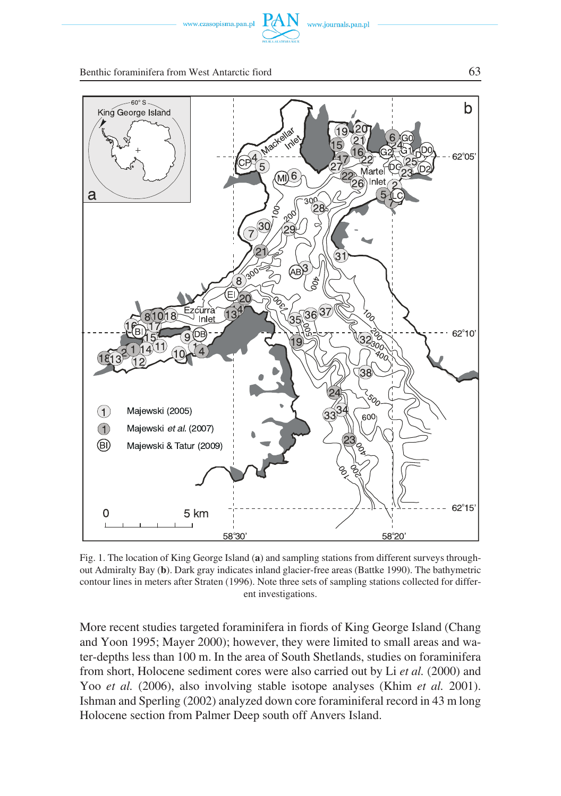



Fig. 1. The location of King George Island (**a**) and sampling stations from different surveys through− out Admiralty Bay (**b**). Dark gray indicates inland glacier−free areas (Battke 1990). The bathymetric contour lines in meters after Straten (1996). Note three sets of sampling stations collected for differ− ent investigations.

More recent studies targeted foraminifera in fiords of King George Island (Chang and Yoon 1995; Mayer 2000); however, they were limited to small areas and wa− ter−depths less than 100 m. In the area of South Shetlands, studies on foraminifera from short, Holocene sediment cores were also carried out by Li *et al.* (2000) and Yoo *et al.* (2006), also involving stable isotope analyses (Khim *et al.* 2001). Ishman and Sperling (2002) analyzed down core foraminiferal record in 43 m long Holocene section from Palmer Deep south off Anvers Island.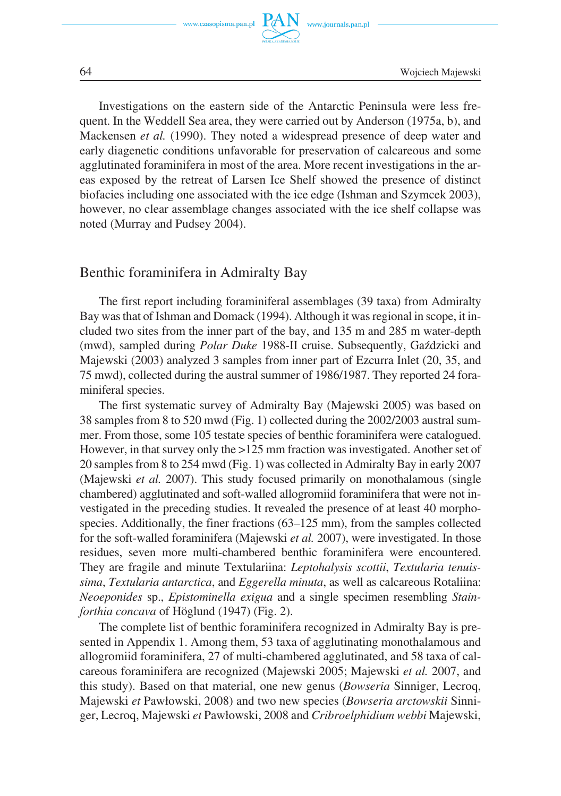

Investigations on the eastern side of the Antarctic Peninsula were less fre− quent. In the Weddell Sea area, they were carried out by Anderson (1975a, b), and Mackensen *et al.* (1990). They noted a widespread presence of deep water and early diagenetic conditions unfavorable for preservation of calcareous and some agglutinated foraminifera in most of the area. More recent investigations in the ar− eas exposed by the retreat of Larsen Ice Shelf showed the presence of distinct biofacies including one associated with the ice edge (Ishman and Szymcek 2003), however, no clear assemblage changes associated with the ice shelf collapse was noted (Murray and Pudsey 2004).

### Benthic foraminifera in Admiralty Bay

The first report including foraminiferal assemblages (39 taxa) from Admiralty Bay was that of Ishman and Domack (1994). Although it was regional in scope, it in− cluded two sites from the inner part of the bay, and 135 m and 285 m water−depth (mwd), sampled during *Polar Duke* 1988−II cruise. Subsequently, Gaździcki and Majewski (2003) analyzed 3 samples from inner part of Ezcurra Inlet (20, 35, and 75 mwd), collected during the austral summer of 1986/1987. They reported 24 fora− miniferal species.

The first systematic survey of Admiralty Bay (Majewski 2005) was based on 38 samples from 8 to 520 mwd (Fig. 1) collected during the 2002/2003 austral sum− mer. From those, some 105 testate species of benthic foraminifera were catalogued. However, in that survey only the >125 mm fraction was investigated. Another set of 20 samples from 8 to 254 mwd (Fig. 1) was collected in Admiralty Bay in early 2007 (Majewski *et al.* 2007). This study focused primarily on monothalamous (single chambered) agglutinated and soft−walled allogromiid foraminifera that were not in− vestigated in the preceding studies. It revealed the presence of at least 40 morpho− species. Additionally, the finer fractions (63–125 mm), from the samples collected for the soft−walled foraminifera (Majewski *et al.* 2007), were investigated. In those residues, seven more multi−chambered benthic foraminifera were encountered. They are fragile and minute Textulariina: *Leptohalysis scottii*, *Textularia tenuis− sima*, *Textularia antarctica*, and *Eggerella minuta*, as well as calcareous Rotaliina: *Neoeponides* sp., *Epistominella exigua* and a single specimen resembling *Stain− forthia concava* of Höglund (1947) (Fig. 2).

The complete list of benthic foraminifera recognized in Admiralty Bay is pre− sented in Appendix 1. Among them, 53 taxa of agglutinating monothalamous and allogromiid foraminifera, 27 of multi−chambered agglutinated, and 58 taxa of cal− careous foraminifera are recognized (Majewski 2005; Majewski *et al.* 2007, and this study). Based on that material, one new genus (*Bowseria* Sinniger, Lecroq, Majewski *et* Pawłowski, 2008) and two new species (*Bowseria arctowskii* Sinni− ger, Lecroq, Majewski *et* Pawłowski, 2008 and *Cribroelphidium webbi* Majewski,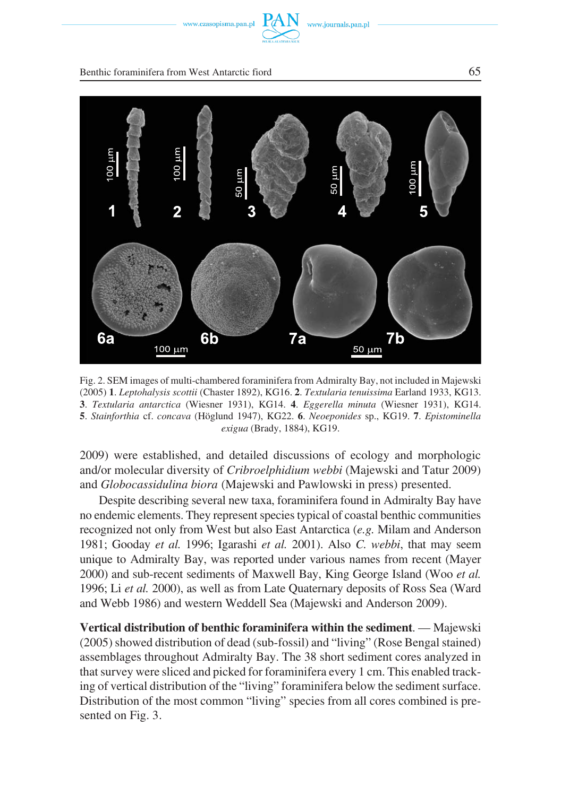

www.journals.pan.pl

#### Benthic foraminifera from West Antarctic fiord 65



Fig. 2. SEM images of multi−chambered foraminifera from Admiralty Bay, not included in Majewski (2005) **1**. *Leptohalysis scottii* (Chaster 1892), KG16. **2**. *Textularia tenuissima* Earland 1933, KG13. **3**. *Textularia antarctica* (Wiesner 1931), KG14. **4**. *Eggerella minuta* (Wiesner 1931), KG14. **5**. *Stainforthia* cf. *concava* (Höglund 1947), KG22. **6**. *Neoeponides* sp., KG19. **7**. *Epistominella exigua* (Brady, 1884), KG19.

2009) were established, and detailed discussions of ecology and morphologic and/or molecular diversity of *Cribroelphidium webbi* (Majewski and Tatur 2009) and *Globocassidulina biora* (Majewski and Pawlowski in press) presented.

Despite describing several new taxa, foraminifera found in Admiralty Bay have no endemic elements. They represent species typical of coastal benthic communities recognized not only from West but also East Antarctica (*e.g.* Milam and Anderson 1981; Gooday *et al.* 1996; Igarashi *et al.* 2001). Also *C. webbi*, that may seem unique to Admiralty Bay, was reported under various names from recent (Mayer 2000) and sub−recent sediments of Maxwell Bay, King George Island (Woo *et al.* 1996; Li *et al.* 2000), as well as from Late Quaternary deposits of Ross Sea (Ward and Webb 1986) and western Weddell Sea (Majewski and Anderson 2009).

**Vertical distribution of benthic foraminifera within the sediment**. — Majewski (2005) showed distribution of dead (sub−fossil) and "living" (Rose Bengal stained) assemblages throughout Admiralty Bay. The 38 short sediment cores analyzed in that survey were sliced and picked for foraminifera every 1 cm. This enabled track− ing of vertical distribution of the "living" foraminifera below the sediment surface. Distribution of the most common "living" species from all cores combined is pre− sented on Fig. 3.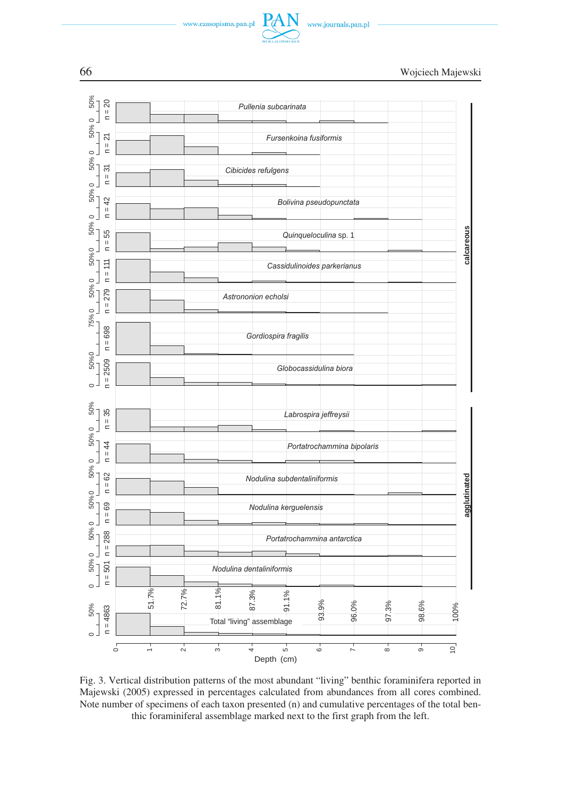







Fig. 3. Vertical distribution patterns of the most abundant "living" benthic foraminifera reported in Majewski (2005) expressed in percentages calculated from abundances from all cores combined. Note number of specimens of each taxon presented (n) and cumulative percentages of the total ben− thic foraminiferal assemblage marked next to the first graph from the left.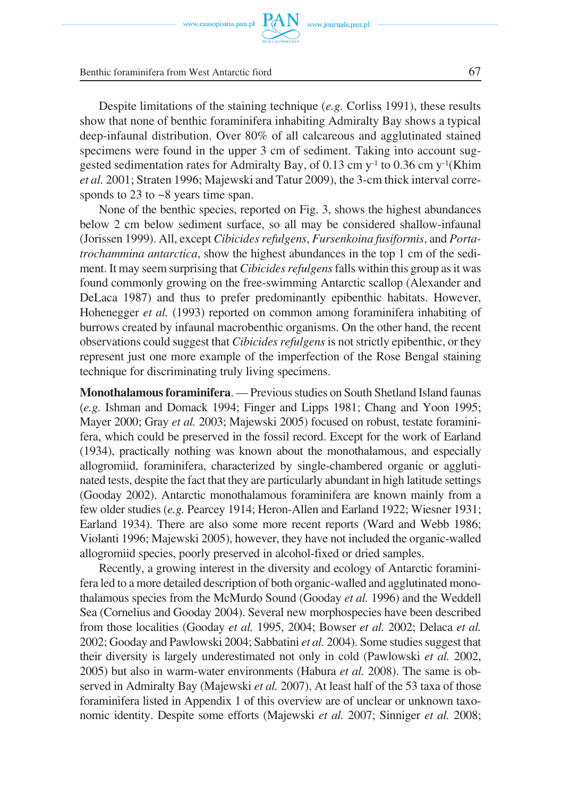

www.journals.pan.p



Benthic foraminifera from West Antarctic fiord 67

Despite limitations of the staining technique (*e.g.* Corliss 1991), these results show that none of benthic foraminifera inhabiting Admiralty Bay shows a typical deep−infaunal distribution. Over 80% of all calcareous and agglutinated stained specimens were found in the upper 3 cm of sediment. Taking into account suggested sedimentation rates for Admiralty Bay, of 0.13 cm y−1 to 0.36 cm y−1(Khim *et al.* 2001; Straten 1996; Majewski and Tatur 2009), the 3-cm thick interval corre− sponds to 23 to ~8 years time span.

None of the benthic species, reported on Fig. 3, shows the highest abundances below 2 cm below sediment surface, so all may be considered shallow−infaunal (Jorissen 1999). All, except *Cibicides refulgens*, *Fursenkoina fusiformis*, and *Porta− trochammina antarctica*, show the highest abundances in the top 1 cm of the sedi− ment. It may seem surprising that *Cibicides refulgens*falls within this group as it was found commonly growing on the free−swimming Antarctic scallop (Alexander and DeLaca 1987) and thus to prefer predominantly epibenthic habitats. However, Hohenegger *et al.* (1993) reported on common among foraminifera inhabiting of burrows created by infaunal macrobenthic organisms. On the other hand, the recent observations could suggest that *Cibicides refulgens*is not strictly epibenthic, or they represent just one more example of the imperfection of the Rose Bengal staining technique for discriminating truly living specimens.

**Monothalamous foraminifera**. — Previous studies on South Shetland Island faunas (*e.g.* Ishman and Domack 1994; Finger and Lipps 1981; Chang and Yoon 1995; Mayer 2000; Gray *et al.* 2003; Majewski 2005) focused on robust, testate foramini− fera, which could be preserved in the fossil record. Except for the work of Earland (1934), practically nothing was known about the monothalamous, and especially allogromiid, foraminifera, characterized by single−chambered organic or aggluti− nated tests, despite the fact that they are particularly abundant in high latitude settings (Gooday 2002). Antarctic monothalamous foraminifera are known mainly from a few older studies (*e.g.* Pearcey 1914; Heron−Allen and Earland 1922; Wiesner 1931; Earland 1934). There are also some more recent reports (Ward and Webb 1986; Violanti 1996; Majewski 2005), however, they have not included the organic−walled allogromiid species, poorly preserved in alcohol−fixed or dried samples.

Recently, a growing interest in the diversity and ecology of Antarctic foramini− fera led to a more detailed description of both organic−walled and agglutinated mono− thalamous species from the McMurdo Sound (Gooday *et al.* 1996) and the Weddell Sea (Cornelius and Gooday 2004). Several new morphospecies have been described from those localities (Gooday *et al.* 1995, 2004; Bowser *et al.* 2002; Delaca *et al.* 2002; Gooday and Pawlowski 2004; Sabbatini *et al.* 2004). Some studies suggest that their diversity is largely underestimated not only in cold (Pawlowski *et al.* 2002, 2005) but also in warm−water environments (Habura *et al.* 2008). The same is ob− served in Admiralty Bay (Majewski *et al.* 2007). At least half of the 53 taxa of those foraminifera listed in Appendix 1 of this overview are of unclear or unknown taxo− nomic identity. Despite some efforts (Majewski *et al.* 2007; Sinniger *et al.* 2008;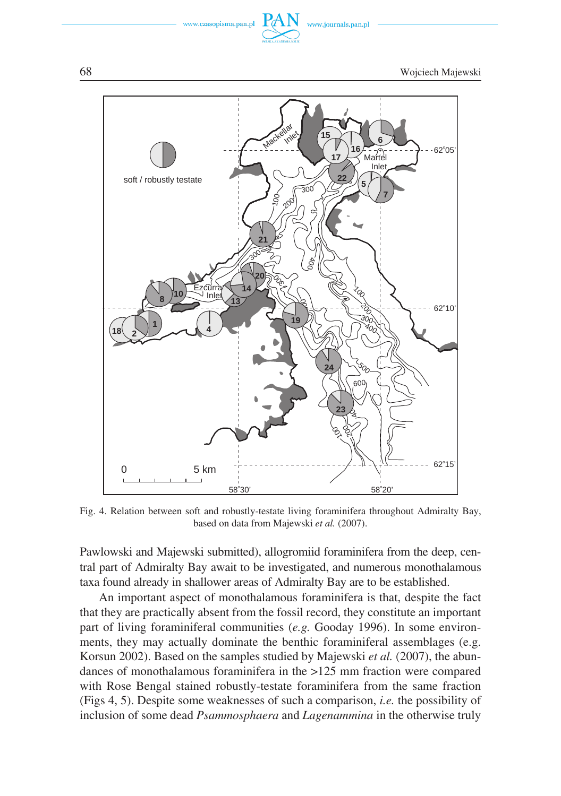

Fig. 4. Relation between soft and robustly−testate living foraminifera throughout Admiralty Bay, based on data from Majewski *et al.* (2007).

Pawlowski and Majewski submitted), allogromiid foraminifera from the deep, cen− tral part of Admiralty Bay await to be investigated, and numerous monothalamous taxa found already in shallower areas of Admiralty Bay are to be established.

An important aspect of monothalamous foraminifera is that, despite the fact that they are practically absent from the fossil record, they constitute an important part of living foraminiferal communities (*e.g.* Gooday 1996). In some environ− ments, they may actually dominate the benthic foraminiferal assemblages (e.g. Korsun 2002). Based on the samples studied by Majewski *et al.* (2007), the abun− dances of monothalamous foraminifera in the >125 mm fraction were compared with Rose Bengal stained robustly−testate foraminifera from the same fraction (Figs 4, 5). Despite some weaknesses of such a comparison, *i.e.* the possibility of inclusion of some dead *Psammosphaera* and *Lagenammina* in the otherwise truly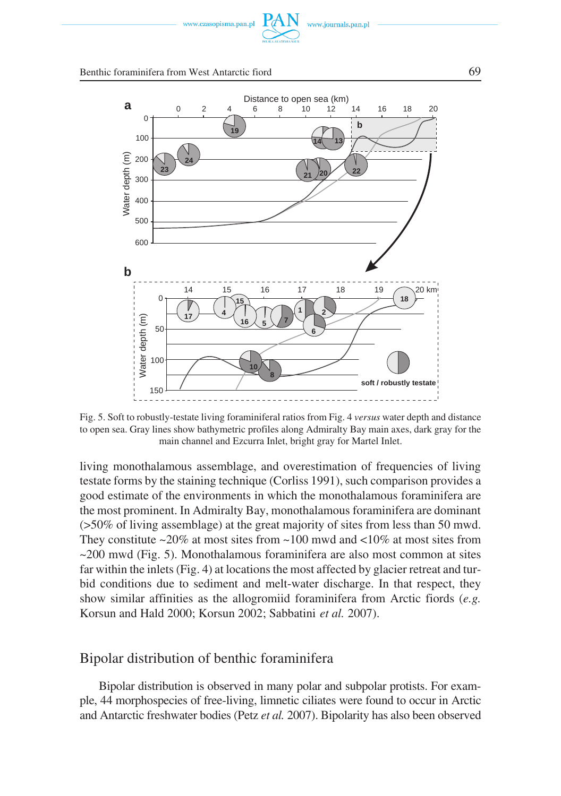



Fig. 5. Soft to robustly−testate living foraminiferal ratios from Fig. 4 *versus* water depth and distance to open sea. Gray lines show bathymetric profiles along Admiralty Bay main axes, dark gray for the main channel and Ezcurra Inlet, bright gray for Martel Inlet.

living monothalamous assemblage, and overestimation of frequencies of living testate forms by the staining technique (Corliss 1991), such comparison provides a good estimate of the environments in which the monothalamous foraminifera are the most prominent. In Admiralty Bay, monothalamous foraminifera are dominant (>50% of living assemblage) at the great majority of sites from less than 50 mwd. They constitute  $\sim$ 20% at most sites from  $\sim$ 100 mwd and  $\lt$ 10% at most sites from  $\sim$ 200 mwd (Fig. 5). Monothalamous foraminifera are also most common at sites far within the inlets (Fig. 4) at locations the most affected by glacier retreat and tur− bid conditions due to sediment and melt−water discharge. In that respect, they show similar affinities as the allogromiid foraminifera from Arctic fiords (*e.g.* Korsun and Hald 2000; Korsun 2002; Sabbatini *et al.* 2007).

# Bipolar distribution of benthic foraminifera

Bipolar distribution is observed in many polar and subpolar protists. For exam− ple, 44 morphospecies of free−living, limnetic ciliates were found to occur in Arctic and Antarctic freshwater bodies (Petz *et al.* 2007). Bipolarity has also been observed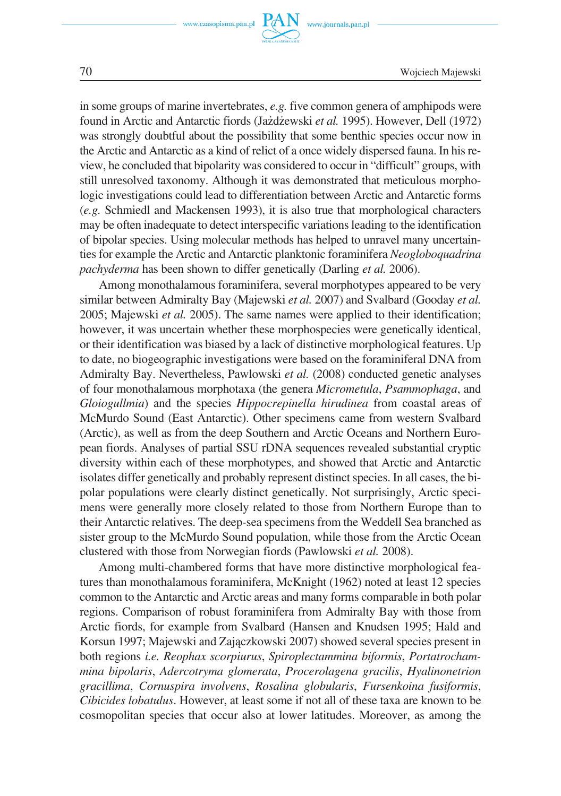

70 Wojciech Majewski

in some groups of marine invertebrates, *e.g.* five common genera of amphipods were found in Arctic and Antarctic fiords (Jażdżewski *et al.* 1995). However, Dell (1972) was strongly doubtful about the possibility that some benthic species occur now in the Arctic and Antarctic as a kind of relict of a once widely dispersed fauna. In his re− view, he concluded that bipolarity was considered to occur in "difficult" groups, with still unresolved taxonomy. Although it was demonstrated that meticulous morpho− logic investigations could lead to differentiation between Arctic and Antarctic forms (*e.g.* Schmiedl and Mackensen 1993), it is also true that morphological characters may be often inadequate to detect interspecific variations leading to the identification of bipolar species. Using molecular methods has helped to unravel many uncertain− ties for example the Arctic and Antarctic planktonic foraminifera *Neogloboquadrina pachyderma* has been shown to differ genetically (Darling *et al.* 2006).

Among monothalamous foraminifera, several morphotypes appeared to be very similar between Admiralty Bay (Majewski *et al.* 2007) and Svalbard (Gooday *et al.* 2005; Majewski *et al.* 2005). The same names were applied to their identification; however, it was uncertain whether these morphospecies were genetically identical, or their identification was biased by a lack of distinctive morphological features. Up to date, no biogeographic investigations were based on the foraminiferal DNA from Admiralty Bay. Nevertheless, Pawlowski *et al.* (2008) conducted genetic analyses of four monothalamous morphotaxa (the genera *Micrometula*, *Psammophaga*, and *Gloiogullmia*) and the species *Hippocrepinella hirudinea* from coastal areas of McMurdo Sound (East Antarctic). Other specimens came from western Svalbard (Arctic), as well as from the deep Southern and Arctic Oceans and Northern Euro− pean fiords. Analyses of partial SSU rDNA sequences revealed substantial cryptic diversity within each of these morphotypes, and showed that Arctic and Antarctic isolates differ genetically and probably represent distinct species. In all cases, the bi− polar populations were clearly distinct genetically. Not surprisingly, Arctic speci− mens were generally more closely related to those from Northern Europe than to their Antarctic relatives. The deep−sea specimens from the Weddell Sea branched as sister group to the McMurdo Sound population, while those from the Arctic Ocean clustered with those from Norwegian fiords (Pawlowski *et al.* 2008).

Among multi−chambered forms that have more distinctive morphological fea− tures than monothalamous foraminifera, McKnight (1962) noted at least 12 species common to the Antarctic and Arctic areas and many forms comparable in both polar regions. Comparison of robust foraminifera from Admiralty Bay with those from Arctic fiords, for example from Svalbard (Hansen and Knudsen 1995; Hald and Korsun 1997; Majewski and Zajączkowski 2007) showed several species present in both regions *i.e. Reophax scorpiurus*, *Spiroplectammina biformis*, *Portatrocham− mina bipolaris*, *Adercotryma glomerata*, *Procerolagena gracilis*, *Hyalinonetrion gracillima*, *Cornuspira involvens*, *Rosalina globularis*, *Fursenkoina fusiformis*, *Cibicides lobatulus*. However, at least some if not all of these taxa are known to be cosmopolitan species that occur also at lower latitudes. Moreover, as among the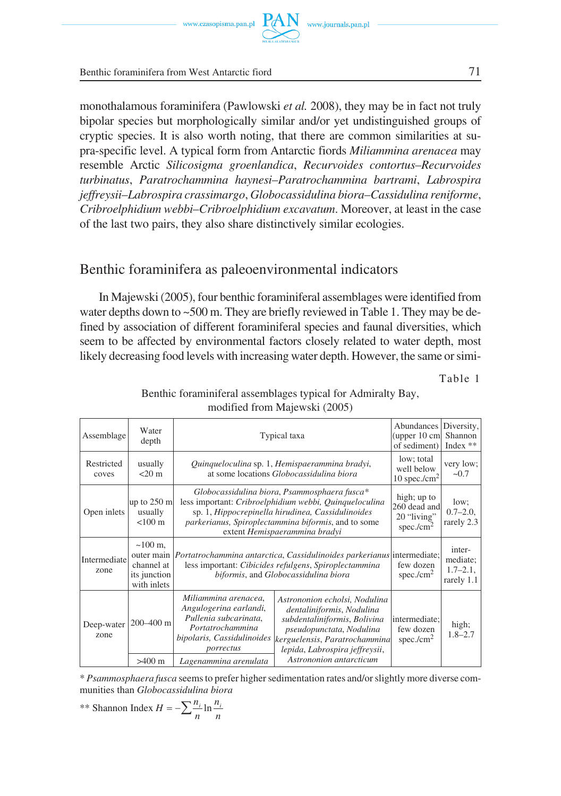monothalamous foraminifera (Pawlowski *et al.* 2008), they may be in fact not truly bipolar species but morphologically similar and/or yet undistinguished groups of cryptic species. It is also worth noting, that there are common similarities at su− pra−specific level. A typical form from Antarctic fiords *Miliammina arenacea* may resemble Arctic *Silicosigma groenlandica*, *Recurvoides contortus*–*Recurvoides turbinatus*, *Paratrochammina haynesi*–*Paratrochammina bartrami*, *Labrospira jeffreysii*–*Labrospira crassimargo*, *Globocassidulina biora*–*Cassidulina reniforme*, *Cribroelphidium webbi*–*Cribroelphidium excavatum*. Moreover, at least in the case of the last two pairs, they also share distinctively similar ecologies.

# Benthic foraminifera as paleoenvironmental indicators

In Majewski (2005), four benthic foraminiferal assemblages were identified from water depths down to ~500 m. They are briefly reviewed in Table 1. They may be de− fined by association of different foraminiferal species and faunal diversities, which seem to be affected by environmental factors closely related to water depth, most likely decreasing food levels with increasing water depth. However, the same or simi−

Table 1

| Assemblage           | Water<br>depth                                                  | Typical taxa                                                                                                                                                                                                                                        |                                                                                                                                                                                                                      | Abundances Diversity,<br>(upper $10 \text{ cm}$ )<br>of sediment) | Shannon<br>Index $**$                             |
|----------------------|-----------------------------------------------------------------|-----------------------------------------------------------------------------------------------------------------------------------------------------------------------------------------------------------------------------------------------------|----------------------------------------------------------------------------------------------------------------------------------------------------------------------------------------------------------------------|-------------------------------------------------------------------|---------------------------------------------------|
| Restricted<br>coves  | usually<br>$<$ 20 m                                             | Quinqueloculina sp. 1, Hemispaerammina bradyi,<br>at some locations <i>Globocassidulina biora</i>                                                                                                                                                   |                                                                                                                                                                                                                      | low; total<br>well below<br>10 spec./ $cm2$                       | very low;<br>~10.7                                |
| Open inlets          | $\mu$ p to 250 m<br>usually<br>$< 100 \text{ m}$                | Globocassidulina biora, Psammosphaera fusca*<br>less important: Cribroelphidium webbi, Quinqueloculina<br>sp. 1, Hippocrepinella hirudinea, Cassidulinoides<br>parkerianus, Spiroplectammina biformis, and to some<br>extent Hemispaerammina bradyi |                                                                                                                                                                                                                      | high; up to<br>260 dead and<br>20 "living"<br>spec./ $cm2$        | low;<br>$0.7 - 2.0$ ,<br>rarely 2.3               |
| Intermediate<br>zone | $~100 \text{ m}$ .<br>channel at<br>its junction<br>with inlets | outer main <i>Portatrochammina antarctica, Cassidulinoides parkerianus</i> intermediate;<br>less important: Cibicides refulgens, Spiroplectammina<br>biformis, and Globocassidulina biora                                                           |                                                                                                                                                                                                                      | few dozen<br>spec./ $\text{cm}^2$                                 | inter-<br>mediate;<br>$1.7 - 2.1$ ,<br>rarely 1.1 |
| Deep-water<br>zone   | 200-400 m                                                       | Miliammina arenacea,<br>Angulogerina earlandi,<br>Pullenia subcarinata,<br>Portatrochammina<br>bipolaris, Cassidulinoides<br>porrectus                                                                                                              | Astrononion echolsi, Nodulina<br>dentaliniformis, Nodulina<br>subdentaliniformis, Bolivina<br>pseudopunctata, Nodulina<br>kerguelensis, Paratrochammina<br>lepida, Labrospira jeffreysii,<br>Astrononion antarcticum | intermediate:<br>few dozen<br>spec./ $cm2$                        | high;<br>$1.8 - 2.7$                              |
|                      | $>400$ m                                                        | Lagenammina arenulata                                                                                                                                                                                                                               |                                                                                                                                                                                                                      |                                                                   |                                                   |

Benthic foraminiferal assemblages typical for Admiralty Bay, modified from Majewski (2005)

\* *Psammosphaera fusca* seems to prefer higher sedimentation rates and/or slightly more diverse com− munities than *Globocassidulina biora*

<sup>\*\*</sup> Shannon Index 
$$
H = -\sum_{n=1}^{\infty} \frac{n_i}{n} \ln \frac{n_i}{n}
$$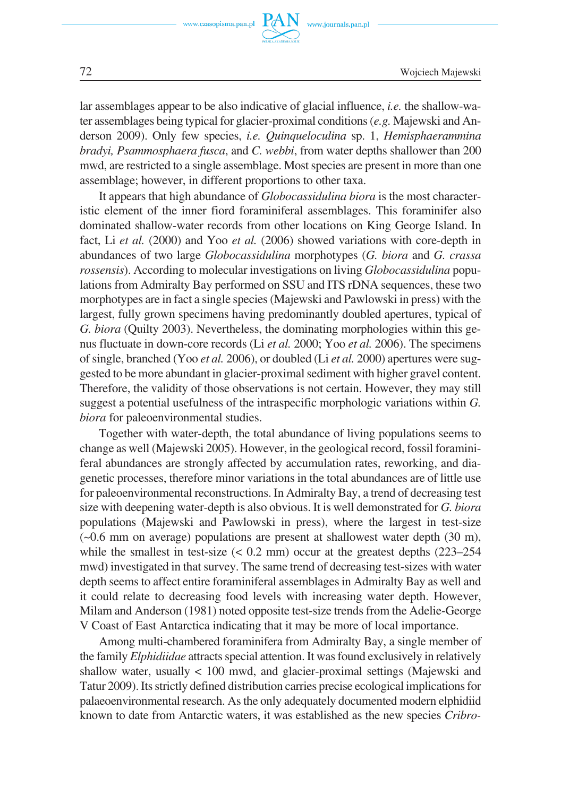

lar assemblages appear to be also indicative of glacial influence, *i.e.* the shallow−wa− ter assemblages being typical for glacier−proximal conditions (*e.g.* Majewski and An− derson 2009). Only few species, *i.e. Quinqueloculina* sp. 1, *Hemisphaerammina bradyi, Psammosphaera fusca*, and *C. webbi*, from water depths shallower than 200 mwd, are restricted to a single assemblage. Most species are present in more than one assemblage; however, in different proportions to other taxa.

It appears that high abundance of *Globocassidulina biora* is the most character− istic element of the inner fiord foraminiferal assemblages. This foraminifer also dominated shallow−water records from other locations on King George Island. In fact, Li *et al.* (2000) and Yoo *et al.* (2006) showed variations with core−depth in abundances of two large *Globocassidulina* morphotypes (*G. biora* and *G. crassa rossensis*). According to molecular investigations on living *Globocassidulina* popu− lations from Admiralty Bay performed on SSU and ITS rDNA sequences, these two morphotypes are in fact a single species (Majewski and Pawlowski in press) with the largest, fully grown specimens having predominantly doubled apertures, typical of *G. biora* (Quilty 2003). Nevertheless, the dominating morphologies within this ge− nus fluctuate in down−core records (Li *et al.* 2000; Yoo *et al.* 2006). The specimens of single, branched (Yoo *et al.* 2006), or doubled (Li *et al.* 2000) apertures were sug− gested to be more abundant in glacier−proximal sediment with higher gravel content. Therefore, the validity of those observations is not certain. However, they may still suggest a potential usefulness of the intraspecific morphologic variations within *G. biora* for paleoenvironmental studies.

Together with water−depth, the total abundance of living populations seems to change as well (Majewski 2005). However, in the geological record, fossil foramini− feral abundances are strongly affected by accumulation rates, reworking, and dia− genetic processes, therefore minor variations in the total abundances are of little use for paleoenvironmental reconstructions. In Admiralty Bay, a trend of decreasing test size with deepening water−depth is also obvious. It is well demonstrated for *G. biora* populations (Majewski and Pawlowski in press), where the largest in test−size  $(-0.6$  mm on average) populations are present at shallowest water depth  $(30 \text{ m})$ , while the smallest in test−size (< 0.2 mm) occur at the greatest depths (223–254 mwd) investigated in that survey. The same trend of decreasing test−sizes with water depth seems to affect entire foraminiferal assemblages in Admiralty Bay as well and it could relate to decreasing food levels with increasing water depth. However, Milam and Anderson (1981) noted opposite test−size trends from the Adelie−George V Coast of East Antarctica indicating that it may be more of local importance.

Among multi−chambered foraminifera from Admiralty Bay, a single member of the family *Elphidiidae* attracts special attention. It was found exclusively in relatively shallow water, usually < 100 mwd, and glacier−proximal settings (Majewski and Tatur 2009). Its strictly defined distribution carries precise ecological implications for palaeoenvironmental research. As the only adequately documented modern elphidiid known to date from Antarctic waters, it was established as the new species *Cribro−*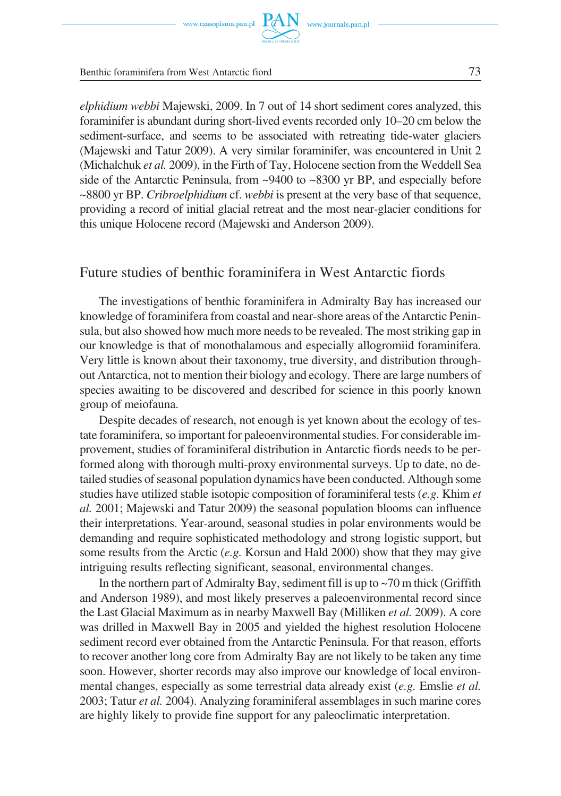*elphidium webbi* Majewski, 2009. In 7 out of 14 short sediment cores analyzed, this foraminifer is abundant during short−lived events recorded only 10–20 cm below the sediment−surface, and seems to be associated with retreating tide−water glaciers (Majewski and Tatur 2009). A very similar foraminifer, was encountered in Unit 2 (Michalchuk *et al.* 2009), in the Firth of Tay, Holocene section from the Weddell Sea side of the Antarctic Peninsula, from  $\sim$ 9400 to  $\sim$ 8300 yr BP, and especially before ~8800 yr BP. *Cribroelphidium* cf. *webbi* is present at the very base of that sequence, providing a record of initial glacial retreat and the most near−glacier conditions for this unique Holocene record (Majewski and Anderson 2009).

### Future studies of benthic foraminifera in West Antarctic fiords

The investigations of benthic foraminifera in Admiralty Bay has increased our knowledge of foraminifera from coastal and near−shore areas of the Antarctic Penin− sula, but also showed how much more needs to be revealed. The most striking gap in our knowledge is that of monothalamous and especially allogromiid foraminifera. Very little is known about their taxonomy, true diversity, and distribution through− out Antarctica, not to mention their biology and ecology. There are large numbers of species awaiting to be discovered and described for science in this poorly known group of meiofauna.

Despite decades of research, not enough is yet known about the ecology of tes− tate foraminifera, so important for paleoenvironmental studies. For considerable im− provement, studies of foraminiferal distribution in Antarctic fiords needs to be per− formed along with thorough multi−proxy environmental surveys. Up to date, no de− tailed studies of seasonal population dynamics have been conducted. Although some studies have utilized stable isotopic composition of foraminiferal tests (*e.g.* Khim *et al.* 2001; Majewski and Tatur 2009) the seasonal population blooms can influence their interpretations. Year−around, seasonal studies in polar environments would be demanding and require sophisticated methodology and strong logistic support, but some results from the Arctic (*e.g.* Korsun and Hald 2000) show that they may give intriguing results reflecting significant, seasonal, environmental changes.

In the northern part of Admiralty Bay, sediment fill is up to  $\sim$  70 m thick (Griffith and Anderson 1989), and most likely preserves a paleoenvironmental record since the Last Glacial Maximum as in nearby Maxwell Bay (Milliken *et al.* 2009). A core was drilled in Maxwell Bay in 2005 and yielded the highest resolution Holocene sediment record ever obtained from the Antarctic Peninsula. For that reason, efforts to recover another long core from Admiralty Bay are not likely to be taken any time soon. However, shorter records may also improve our knowledge of local environ− mental changes, especially as some terrestrial data already exist (*e.g.* Emslie *et al.* 2003; Tatur *et al.* 2004). Analyzing foraminiferal assemblages in such marine cores are highly likely to provide fine support for any paleoclimatic interpretation.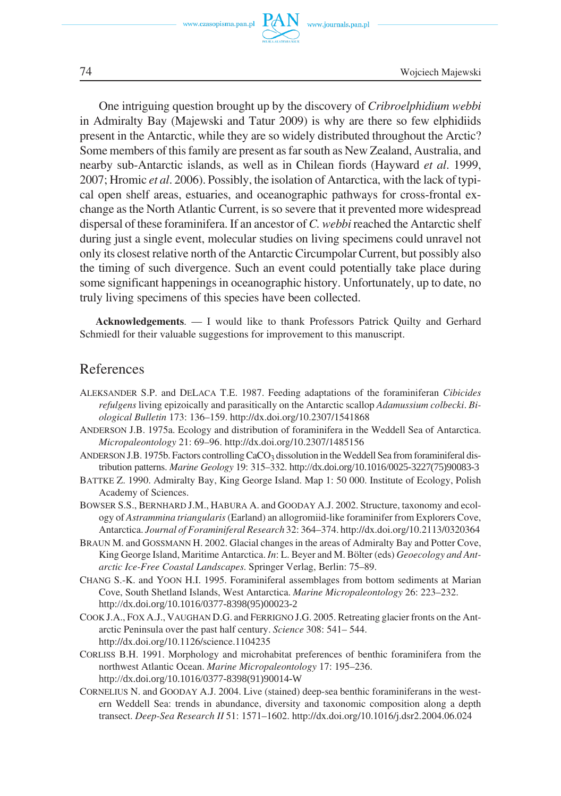

74 Wojciech Majewski

One intriguing question brought up by the discovery of *Cribroelphidium webbi* in Admiralty Bay (Majewski and Tatur 2009) is why are there so few elphidiids present in the Antarctic, while they are so widely distributed throughout the Arctic? Some members of this family are present as far south as New Zealand, Australia, and nearby sub−Antarctic islands, as well as in Chilean fiords (Hayward *et al*. 1999, 2007; Hromic *et al*. 2006). Possibly, the isolation of Antarctica, with the lack of typi− cal open shelf areas, estuaries, and oceanographic pathways for cross−frontal ex− change as the North Atlantic Current, is so severe that it prevented more widespread dispersal of these foraminifera. If an ancestor of *C. webbi* reached the Antarctic shelf during just a single event, molecular studies on living specimens could unravel not only its closest relative north of the Antarctic Circumpolar Current, but possibly also the timing of such divergence. Such an event could potentially take place during some significant happenings in oceanographic history. Unfortunately, up to date, no truly living specimens of this species have been collected.

**Acknowledgements**. — I would like to thank Professors Patrick Quilty and Gerhard Schmiedl for their valuable suggestions for improvement to this manuscript.

### References

- ALEKSANDER S.P. and DELACA T.E. 1987. Feeding adaptations of the foraminiferan *Cibicides refulgens* living epizoically and parasitically on the Antarctic scallop *Adamussium colbecki*. *Bi− ological Bulletin* 173: 136–159. http://dx.doi.org/10.2307/1541868
- ANDERSON J.B. 1975a. Ecology and distribution of foraminifera in the Weddell Sea of Antarctica. *Micropaleontology* 21: 69–96. http://dx.doi.org/10.2307/1485156
- ANDERSON J.B. 1975b. Factors controlling CaCO<sub>3</sub> dissolution in the Weddell Sea from foraminiferal distribution patterns. *Marine Geology* 19: 315–332. http://dx.doi.org/10.1016/0025-3227(75)90083-3
- BATTKE Z. 1990. Admiralty Bay, King George Island. Map 1: 50 000. Institute of Ecology, Polish Academy of Sciences.
- BOWSER S.S., BERNHARD J.M., HABURA A. and GOODAY A.J. 2002. Structure, taxonomy and ecol− ogy of *Astrammina triangularis*(Earland) an allogromiid−like foraminifer from Explorers Cove, Antarctica. *Journal of Foraminiferal Research* 32: 364–374. http://dx.doi.org/10.2113/0320364
- BRAUN M. and GOSSMANN H. 2002. Glacial changes in the areas of Admiralty Bay and Potter Cove, King George Island, Maritime Antarctica. *In*: L. Beyer and M. Bölter (eds) *Geoecology and Ant− arctic Ice−Free Coastal Landscapes*. Springer Verlag, Berlin: 75–89.
- CHANG S.−K. and YOON H.I. 1995. Foraminiferal assemblages from bottom sediments at Marian Cove, South Shetland Islands, West Antarctica. *Marine Micropaleontology* 26: 223–232. http://dx.doi.org/10.1016/0377-8398(95)00023-2
- COOK J.A., FOX A.J., VAUGHAN D.G. and FERRIGNO J.G. 2005. Retreating glacier fronts on the Ant− arctic Peninsula over the past half century. *Science* 308: 541– 544. http://dx.doi.org/10.1126/science.1104235
- CORLISS B.H. 1991. Morphology and microhabitat preferences of benthic foraminifera from the northwest Atlantic Ocean. *Marine Micropaleontology* 17: 195–236. http://dx.doi.org/10.1016/0377-8398(91)90014-W
- CORNELIUS N. and GOODAY A.J. 2004. Live (stained) deep−sea benthic foraminiferans in the west− ern Weddell Sea: trends in abundance, diversity and taxonomic composition along a depth transect. *Deep−Sea Research II* 51: 1571–1602. http://dx.doi.org/10.1016/j.dsr2.2004.06.024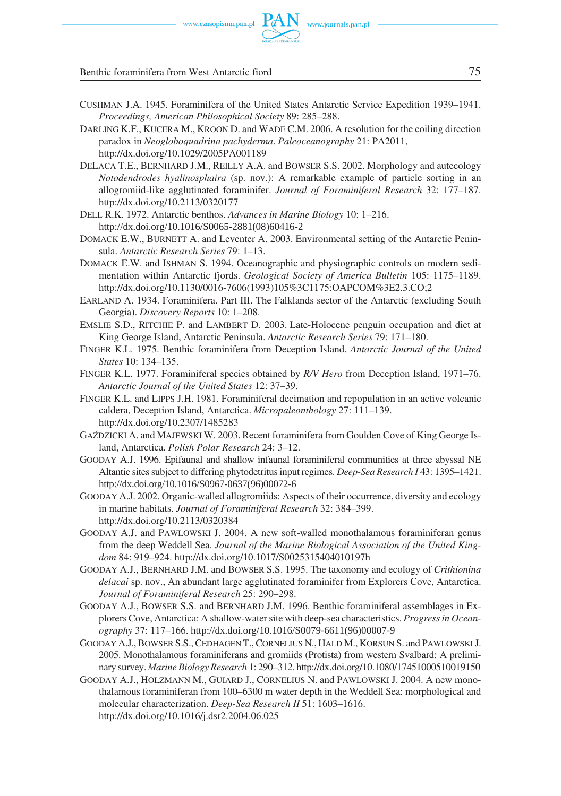

Benthic foraminifera from West Antarctic fiord 75

- CUSHMAN J.A. 1945. Foraminifera of the United States Antarctic Service Expedition 1939–1941. *Proceedings, American Philosophical Society* 89: 285–288.
- DARLING K.F., KUCERA M., KROON D. and WADE C.M. 2006. A resolution for the coiling direction paradox in *Neogloboquadrina pachyderma*. *Paleoceanography* 21: PA2011, http://dx.doi.org/10.1029/2005PA001189
- DELACA T.E., BERNHARD J.M., REILLY A.A. and BOWSER S.S. 2002. Morphology and autecology *Notodendrodes hyalinosphaira* (sp. nov.): A remarkable example of particle sorting in an allogromiid−like agglutinated foraminifer. *Journal of Foraminiferal Research* 32: 177–187. http://dx.doi.org/10.2113/0320177
- DELL R.K. 1972. Antarctic benthos. *Advances in Marine Biology* 10: 1–216. http://dx.doi.org/10.1016/S0065-2881(08)60416-2
- DOMACK E.W., BURNETT A. and Leventer A. 2003. Environmental setting of the Antarctic Penin− sula. *Antarctic Research Series* 79: 1–13.
- DOMACK E.W. and ISHMAN S. 1994. Oceanographic and physiographic controls on modern sedi− mentation within Antarctic fjords. *Geological Society of America Bulletin* 105: 1175–1189. http://dx.doi.org/10.1130/0016−7606(1993)105%3C1175:OAPCOM%3E2.3.CO;2
- EARLAND A. 1934. Foraminifera. Part III. The Falklands sector of the Antarctic (excluding South Georgia). *Discovery Reports* 10: 1–208.
- EMSLIE S.D., RITCHIE P. and LAMBERT D. 2003. Late−Holocene penguin occupation and diet at King George Island, Antarctic Peninsula. *Antarctic Research Series* 79: 171–180.
- FINGER K.L. 1975. Benthic foraminifera from Deception Island. *Antarctic Journal of the United States* 10: 134–135.
- FINGER K.L. 1977. Foraminiferal species obtained by *R/V Hero* from Deception Island, 1971–76. *Antarctic Journal of the United States* 12: 37–39.
- FINGER K.L. and LIPPS J.H. 1981. Foraminiferal decimation and repopulation in an active volcanic caldera, Deception Island, Antarctica. *Micropaleonthology* 27: 111–139. http://dx.doi.org/10.2307/1485283
- GAŹDZICKI A. and MAJEWSKI W. 2003. Recent foraminifera from Goulden Cove of King George Is− land, Antarctica. *Polish Polar Research* 24: 3–12.
- GOODAY A.J. 1996. Epifaunal and shallow infaunal foraminiferal communities at three abyssal NE Altantic sites subject to differing phytodetritus input regimes. *Deep−Sea Research I* 43: 1395–1421. http://dx.doi.org/10.1016/S0967-0637(96)00072-6
- GOODAY A.J. 2002. Organic−walled allogromiids: Aspects of their occurrence, diversity and ecology in marine habitats. *Journal of Foraminiferal Research* 32: 384–399. http://dx.doi.org/10.2113/0320384
- GOODAY A.J. and PAWLOWSKI J. 2004. A new soft−walled monothalamous foraminiferan genus from the deep Weddell Sea. *Journal of the Marine Biological Association of the United King− dom* 84: 919–924. http://dx.doi.org/10.1017/S0025315404010197h
- GOODAY A.J., BERNHARD J.M. and BOWSER S.S. 1995. The taxonomy and ecology of *Crithionina delacai* sp. nov., An abundant large agglutinated foraminifer from Explorers Cove, Antarctica. *Journal of Foraminiferal Research* 25: 290–298.
- GOODAY A.J., BOWSER S.S. and BERNHARD J.M. 1996. Benthic foraminiferal assemblages in Ex− plorers Cove, Antarctica: A shallow−water site with deep−sea characteristics. *Progress in Ocean− ography* 37: 117–166. http://dx.doi.org/10.1016/S0079-6611(96)00007-9
- GOODAY A.J., BOWSER S.S., CEDHAGEN T., CORNELIUS N., HALD M., KORSUN S. and PAWLOWSKIJ. 2005. Monothalamous foraminiferans and gromiids (Protista) from western Svalbard: A prelimi− nary survey. *Marine Biology Research* 1: 290–312. http://dx.doi.org/10.1080/17451000510019150
- GOODAY A.J., HOLZMANN M., GUIARD J., CORNELIUS N. and PAWLOWSKI J. 2004. A new mono− thalamous foraminiferan from 100–6300 m water depth in the Weddell Sea: morphological and molecular characterization. *Deep−Sea Research II* 51: 1603–1616. http://dx.doi.org/10.1016/j.dsr2.2004.06.025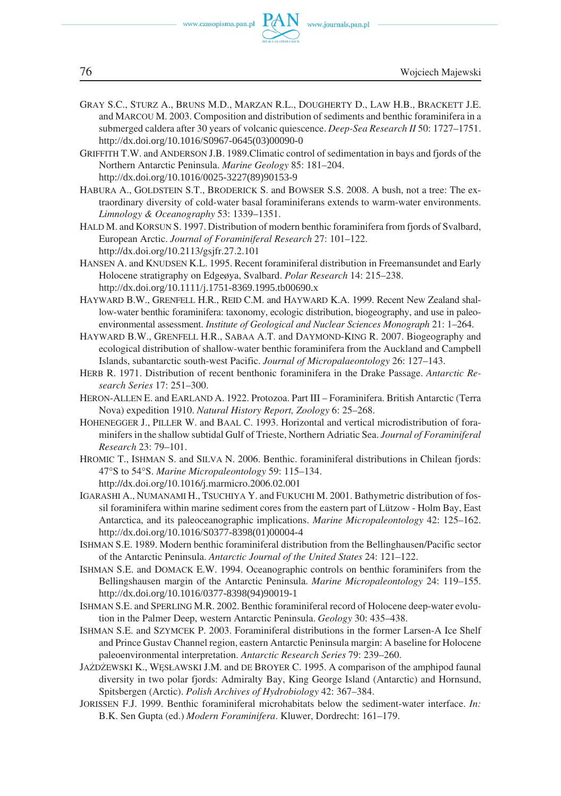

- GRAY S.C., STURZ A., BRUNS M.D., MARZAN R.L., DOUGHERTY D., LAW H.B., BRACKETT J.E. and MARCOU M. 2003. Composition and distribution of sediments and benthic foraminifera in a submerged caldera after 30 years of volcanic quiescence. *Deep−Sea Research II* 50: 1727–1751. http://dx.doi.org/10.1016/S0967-0645(03)00090-0
- GRIFFITH T.W. and ANDERSON J.B. 1989.Climatic control of sedimentation in bays and fjords of the Northern Antarctic Peninsula. *Marine Geology* 85: 181–204. http://dx.doi.org/10.1016/0025-3227(89)90153-9
- HABURA A., GOLDSTEIN S.T., BRODERICK S. and BOWSER S.S. 2008. A bush, not a tree: The ex− traordinary diversity of cold−water basal foraminiferans extends to warm−water environments. *Limnology & Oceanography* 53: 1339–1351.
- HALD M. and KORSUN S. 1997. Distribution of modern benthic foraminifera from fjords of Svalbard, European Arctic. *Journal of Foraminiferal Research* 27: 101–122. http://dx.doi.org/10.2113/gsjfr.27.2.101
- HANSEN A. and KNUDSEN K.L. 1995. Recent foraminiferal distribution in Freemansundet and Early Holocene stratigraphy on Edgeøya, Svalbard. *Polar Research* 14: 215–238. http://dx.doi.org/10.1111/j.1751-8369.1995.tb00690.x
- HAYWARD B.W., GRENFELL H.R., REID C.M. and HAYWARD K.A. 1999. Recent New Zealand shal− low−water benthic foraminifera: taxonomy, ecologic distribution, biogeography, and use in paleo− environmental assessment. *Institute of Geological and Nuclear Sciences Monograph* 21: 1–264.
- HAYWARD B.W., GRENFELL H.R., SABAA A.T. and DAYMOND−KING R. 2007. Biogeography and ecological distribution of shallow−water benthic foraminifera from the Auckland and Campbell Islands, subantarctic south−west Pacific. *Journal of Micropalaeontology* 26: 127–143.
- HERB R. 1971. Distribution of recent benthonic foraminifera in the Drake Passage. *Antarctic Re− search Series* 17: 251–300.
- HERON−ALLEN E. and EARLAND A. 1922. Protozoa. Part III Foraminifera. British Antarctic (Terra Nova) expedition 1910. *Natural History Report, Zoology* 6: 25–268.
- HOHENEGGER J., PILLER W. and BAAL C. 1993. Horizontal and vertical microdistribution of fora− minifers in the shallow subtidal Gulf of Trieste, Northern Adriatic Sea. *Journal of Foraminiferal Research* 23: 79–101.
- HROMIC T., ISHMAN S. and SILVA N. 2006. Benthic. foraminiferal distributions in Chilean fjords: 47°S to 54°S. Marine Micropaleontology 59: 115-134. http://dx.doi.org/10.1016/j.marmicro.2006.02.001
- IGARASHI A., NUMANAMI H., TSUCHIYA Y. and FUKUCHI M. 2001. Bathymetric distribution of fos− sil foraminifera within marine sediment cores from the eastern part of Lützow − Holm Bay, East Antarctica, and its paleoceanographic implications. *Marine Micropaleontology* 42: 125–162. http://dx.doi.org/10.1016/S0377-8398(01)00004-4
- ISHMAN S.E. 1989. Modern benthic foraminiferal distribution from the Bellinghausen/Pacific sector of the Antarctic Peninsula. *Antarctic Journal of the United States* 24: 121–122.
- ISHMAN S.E. and DOMACK E.W. 1994. Oceanographic controls on benthic foraminifers from the Bellingshausen margin of the Antarctic Peninsula. *Marine Micropaleontology* 24: 119–155. http://dx.doi.org/10.1016/0377-8398(94)90019-1
- ISHMAN S.E. and SPERLING M.R. 2002. Benthic foraminiferal record of Holocene deep−water evolu− tion in the Palmer Deep, western Antarctic Peninsula. *Geology* 30: 435–438.
- ISHMAN S.E. and SZYMCEK P. 2003. Foraminiferal distributions in the former Larsen−A Ice Shelf and Prince Gustav Channel region, eastern Antarctic Peninsula margin: A baseline for Holocene paleoenvironmental interpretation. *Antarctic Research Series* 79: 239–260.
- JAŻDŻEWSKI K., WĘSŁAWSKI J.M. and DE BROYER C. 1995. A comparison of the amphipod faunal diversity in two polar fjords: Admiralty Bay, King George Island (Antarctic) and Hornsund, Spitsbergen (Arctic). *Polish Archives of Hydrobiology* 42: 367–384.
- JORISSEN F.J. 1999. Benthic foraminiferal microhabitats below the sediment−water interface. *In:* B.K. Sen Gupta (ed.) *Modern Foraminifera*. Kluwer, Dordrecht: 161–179.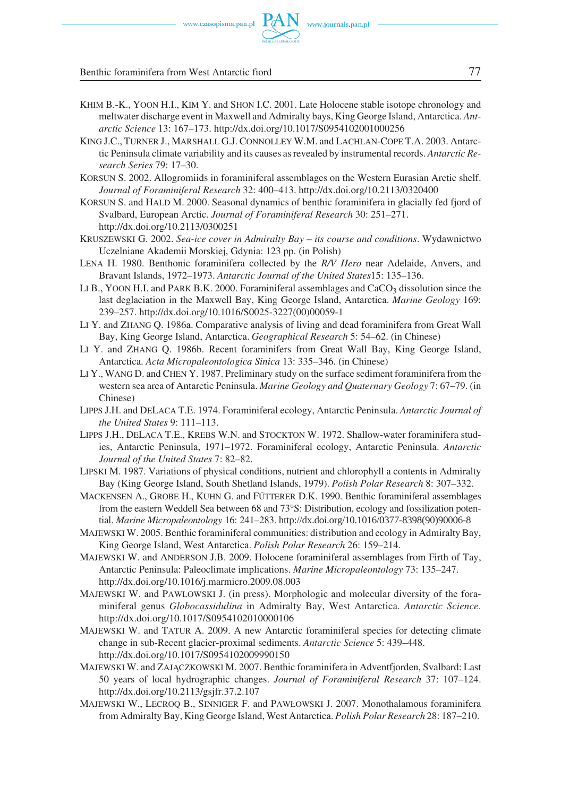

- KHIM B.−K., YOON H.I., KIM Y. and SHON I.C. 2001. Late Holocene stable isotope chronology and meltwater discharge event in Maxwell and Admiralty bays, King George Island, Antarctica. *Ant− arctic Science* 13: 167–173. http://dx.doi.org/10.1017/S0954102001000256
- KING J.C., TURNER J., MARSHALL G.J. CONNOLLEY W.M. and LACHLAN−COPE T.A. 2003. Antarc− tic Peninsula climate variability and its causes as revealed by instrumental records. *Antarctic Re− search Series* 79: 17–30.
- KORSUN S. 2002. Allogromiids in foraminiferal assemblages on the Western Eurasian Arctic shelf. *Journal of Foraminiferal Research* 32: 400–413. http://dx.doi.org/10.2113/0320400
- KORSUN S. and HALD M. 2000. Seasonal dynamics of benthic foraminifera in glacially fed fjord of Svalbard, European Arctic. *Journal of Foraminiferal Research* 30: 251–271. http://dx.doi.org/10.2113/0300251
- KRUSZEWSKI G. 2002. *Sea−ice cover in Admiralty Bay its course and conditions*. Wydawnictwo Uczelniane Akademii Morskiej, Gdynia: 123 pp. (in Polish)
- LENA H. 1980. Benthonic foraminifera collected by the *R/V Hero* near Adelaide, Anvers, and Bravant Islands, 1972–1973. *Antarctic Journal of the United States*15: 135–136.
- LI B., YOON H.I. and PARK B.K. 2000. Foraminiferal assemblages and CaCO<sub>3</sub> dissolution since the last deglaciation in the Maxwell Bay, King George Island, Antarctica. *Marine Geology* 169: 239–257. http://dx.doi.org/10.1016/S0025−3227(00)00059−1
- LI Y. and ZHANG Q. 1986a. Comparative analysis of living and dead foraminifera from Great Wall Bay, King George Island, Antarctica. *Geographical Research* 5: 54–62. (in Chinese)
- LI Y. and ZHANG Q. 1986b. Recent foraminifers from Great Wall Bay, King George Island, Antarctica. *Acta Micropaleontologica Sinica* 13: 335–346. (in Chinese)
- LI Y., WANG D. and CHEN Y. 1987. Preliminary study on the surface sediment foraminifera from the western sea area of Antarctic Peninsula. *Marine Geology and Quaternary Geology* 7: 67–79. (in Chinese)
- LIPPS J.H. and DELACA T.E. 1974. Foraminiferal ecology, Antarctic Peninsula. *Antarctic Journal of the United States* 9: 111–113.
- LIPPS J.H., DELACA T.E., KREBS W.N. and STOCKTON W. 1972. Shallow−water foraminifera stud− ies, Antarctic Peninsula, 1971–1972. Foraminiferal ecology, Antarctic Peninsula. *Antarctic Journal of the United States* 7: 82–82.
- LIPSKI M. 1987. Variations of physical conditions, nutrient and chlorophyll a contents in Admiralty Bay (King George Island, South Shetland Islands, 1979). *Polish Polar Research* 8: 307–332.
- MACKENSEN A., GROBE H., KUHN G. and FÜTTERER D.K. 1990. Benthic foraminiferal assemblages from the eastern Weddell Sea between 68 and 73°S: Distribution, ecology and fossilization potential. *Marine Micropaleontology* 16: 241–283. http://dx.doi.org/10.1016/0377-8398(90)90006-8
- MAJEWSKI W. 2005. Benthic foraminiferal communities: distribution and ecology in Admiralty Bay, King George Island, West Antarctica. *Polish Polar Research* 26: 159–214.
- MAJEWSKI W. and ANDERSON J.B. 2009. Holocene foraminiferal assemblages from Firth of Tay, Antarctic Peninsula: Paleoclimate implications. *Marine Micropaleontology* 73: 135–247. http://dx.doi.org/10.1016/j.marmicro.2009.08.003
- MAJEWSKI W. and PAWLOWSKI J. (in press). Morphologic and molecular diversity of the fora− miniferal genus *Globocassidulina* in Admiralty Bay, West Antarctica. *Antarctic Science*. http://dx.doi.org/10.1017/S0954102010000106
- MAJEWSKI W. and TATUR A. 2009. A new Antarctic foraminiferal species for detecting climate change in sub−Recent glacier−proximal sediments. *Antarctic Science* 5: 439–448. http://dx.doi.org/10.1017/S0954102009990150
- MAJEWSKI W. and ZAJĄCZKOWSKI M. 2007. Benthic foraminifera in Adventfjorden, Svalbard: Last 50 years of local hydrographic changes. *Journal of Foraminiferal Research* 37: 107–124. http://dx.doi.org/10.2113/gsjfr.37.2.107
- MAJEWSKI W., LECROQ B., SINNIGER F. and PAWŁOWSKI J. 2007. Monothalamous foraminifera from Admiralty Bay, King George Island, West Antarctica. *Polish Polar Research* 28: 187–210.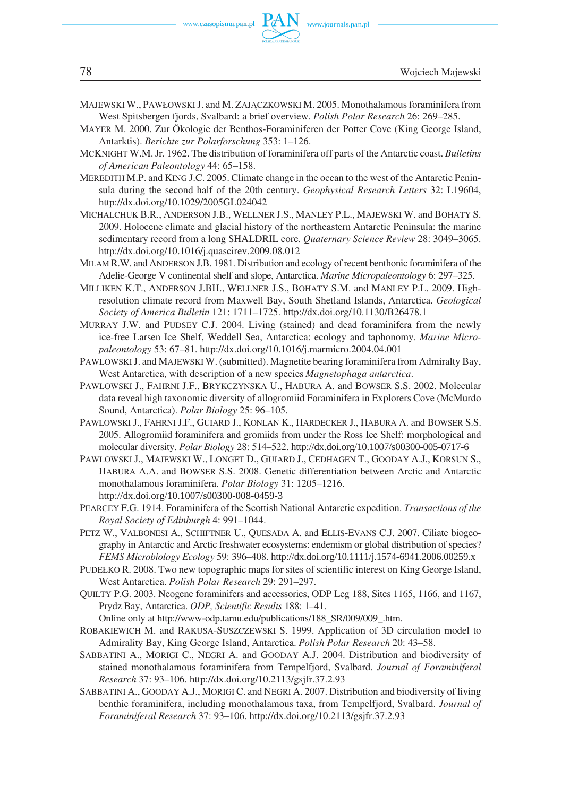- MAJEWSKI W., PAWŁOWSKIJ. and M. ZAJĄCZKOWSKI M. 2005. Monothalamous foraminifera from West Spitsbergen fjords, Svalbard: a brief overview. *Polish Polar Research* 26: 269–285.
- MAYER M. 2000. Zur Ökologie der Benthos−Foraminiferen der Potter Cove (King George Island, Antarktis). *Berichte zur Polarforschung* 353: 1–126.
- MCKNIGHT W.M. Jr. 1962. The distribution of foraminifera off parts of the Antarctic coast. *Bulletins of American Paleontology* 44: 65–158.
- MEREDITH M.P. and KING J.C. 2005. Climate change in the ocean to the west of the Antarctic Penin− sula during the second half of the 20th century. *Geophysical Research Letters* 32: L19604, http://dx.doi.org/10.1029/2005GL024042
- MICHALCHUK B.R., ANDERSON J.B., WELLNER J.S., MANLEY P.L., MAJEWSKI W. and BOHATY S. 2009. Holocene climate and glacial history of the northeastern Antarctic Peninsula: the marine sedimentary record from a long SHALDRIL core. *Quaternary Science Review* 28: 3049–3065. http://dx.doi.org/10.1016/j.quascirev.2009.08.012
- MILAM R.W. and ANDERSON J.B. 1981. Distribution and ecology of recent benthonic foraminifera of the Adelie−George V continental shelf and slope, Antarctica. *Marine Micropaleontology* 6: 297–325.
- MILLIKEN K.T., ANDERSON J.BH., WELLNER J.S., BOHATY S.M. and MANLEY P.L. 2009. High− resolution climate record from Maxwell Bay, South Shetland Islands, Antarctica. *Geological Society of America Bulletin* 121: 1711–1725. http://dx.doi.org/10.1130/B26478.1
- MURRAY J.W. and PUDSEY C.J. 2004. Living (stained) and dead foraminifera from the newly ice−free Larsen Ice Shelf, Weddell Sea, Antarctica: ecology and taphonomy. *Marine Micro− paleontology* 53: 67–81. http://dx.doi.org/10.1016/j.marmicro.2004.04.001
- PAWLOWSKIJ. and MAJEWSKI W. (submitted). Magnetite bearing foraminifera from Admiralty Bay, West Antarctica, with description of a new species *Magnetophaga antarctica*.
- PAWLOWSKI J., FAHRNI J.F., BRYKCZYNSKA U., HABURA A. and BOWSER S.S. 2002. Molecular data reveal high taxonomic diversity of allogromiid Foraminifera in Explorers Cove (McMurdo Sound, Antarctica). *Polar Biology* 25: 96–105.
- PAWLOWSKI J., FAHRNI J.F., GUIARD J., KONLAN K., HARDECKER J., HABURA A. and BOWSER S.S. 2005. Allogromiid foraminifera and gromiids from under the Ross Ice Shelf: morphological and molecular diversity. *Polar Biology* 28: 514–522. http://dx.doi.org/10.1007/s00300-005-0717-6
- PAWLOWSKI J., MAJEWSKI W., LONGET D., GUIARD J., CEDHAGEN T., GOODAY A.J., KORSUN S., HABURA A.A. and BOWSER S.S. 2008. Genetic differentiation between Arctic and Antarctic monothalamous foraminifera. *Polar Biology* 31: 1205–1216. http://dx.doi.org/10.1007/s00300-008-0459-3
- PEARCEY F.G. 1914. Foraminifera of the Scottish National Antarctic expedition. *Transactions of the Royal Society of Edinburgh* 4: 991–1044.
- PETZ W., VALBONESI A., SCHIFTNER U., QUESADA A. and ELLIS−EVANS C.J. 2007. Ciliate biogeo− graphy in Antarctic and Arctic freshwater ecosystems: endemism or global distribution of species? *FEMS Microbiology Ecology* 59: 396–408. http://dx.doi.org/10.1111/j.1574-6941.2006.00259.x
- PUDEŁKO R. 2008. Two new topographic maps for sites of scientific interest on King George Island, West Antarctica. *Polish Polar Research* 29: 291–297.
- QUILTY P.G. 2003. Neogene foraminifers and accessories, ODP Leg 188, Sites 1165, 1166, and 1167, Prydz Bay, Antarctica. *ODP, Scientific Results* 188: 1–41.

Online only at http://www-odp.tamu.edu/publications/188\_SR/009/009\_.htm.

- ROBAKIEWICH M. and RAKUSA−SUSZCZEWSKI S. 1999. Application of 3D circulation model to Admirality Bay, King George Island, Antarctica. *Polish Polar Research* 20: 43–58.
- SABBATINI A., MORIGI C., NEGRI A. and GOODAY A.J. 2004. Distribution and biodiversity of stained monothalamous foraminifera from Tempelfjord, Svalbard. *Journal of Foraminiferal Research* 37: 93–106. http://dx.doi.org/10.2113/gsjfr.37.2.93
- SABBATINI A., GOODAY A.J., MORIGI C. and NEGRI A. 2007. Distribution and biodiversity of living benthic foraminifera, including monothalamous taxa, from Tempelfjord, Svalbard. *Journal of Foraminiferal Research* 37: 93–106. http://dx.doi.org/10.2113/gsjfr.37.2.93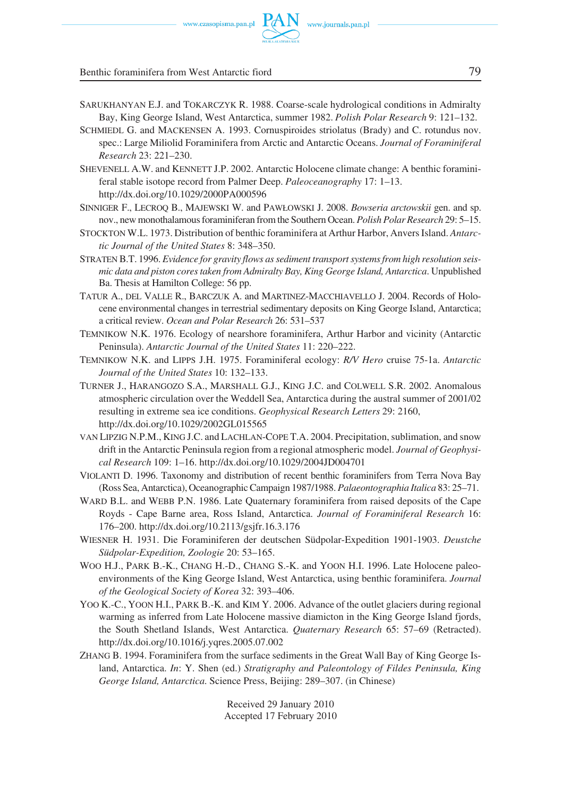Benthic foraminifera from West Antarctic fiord 79

- SARUKHANYAN E.J. and TOKARCZYK R. 1988. Coarse−scale hydrological conditions in Admiralty Bay, King George Island, West Antarctica, summer 1982. *Polish Polar Research* 9: 121–132.
- SCHMIEDL G. and MACKENSEN A. 1993. Cornuspiroides striolatus (Brady) and C. rotundus nov. spec.: Large Miliolid Foraminifera from Arctic and Antarctic Oceans. *Journal of Foraminiferal Research* 23: 221–230.
- SHEVENELL A.W. and KENNETT J.P. 2002. Antarctic Holocene climate change: A benthic foramini– feral stable isotope record from Palmer Deep. *Paleoceanography* 17: 1–13. http://dx.doi.org/10.1029/2000PA000596
- SINNIGER F., LECROQ B., MAJEWSKI W. and PAWŁOWSKI J. 2008. *Bowseria arctowskii* gen. and sp. nov., new monothalamous foraminiferan from the Southern Ocean. *Polish Polar Research* 29: 5–15.
- STOCKTON W.L. 1973. Distribution of benthic foraminifera at Arthur Harbor, Anvers Island. *Antarc− tic Journal of the United States* 8: 348–350.
- STRATEN B.T. 1996. *Evidence for gravity flows as sediment transport systems from high resolution seis− mic data and piston cores taken from Admiralty Bay, King George Island, Antarctica*. Unpublished Ba. Thesis at Hamilton College: 56 pp.
- TATUR A., DEL VALLE R., BARCZUK A. and MARTINEZ−MACCHIAVELLO J. 2004. Records of Holo− cene environmental changes in terrestrial sedimentary deposits on King George Island, Antarctica; a critical review. *Ocean and Polar Research* 26: 531–537
- TEMNIKOW N.K. 1976. Ecology of nearshore foraminifera, Arthur Harbor and vicinity (Antarctic Peninsula). *Antarctic Journal of the United States* 11: 220–222.
- TEMNIKOW N.K. and LIPPS J.H. 1975. Foraminiferal ecology: *R/V Hero* cruise 75−1a. *Antarctic Journal of the United States* 10: 132–133.
- TURNER J., HARANGOZO S.A., MARSHALL G.J., KING J.C. and COLWELL S.R. 2002. Anomalous atmospheric circulation over the Weddell Sea, Antarctica during the austral summer of 2001/02 resulting in extreme sea ice conditions. *Geophysical Research Letters* 29: 2160, http://dx.doi.org/10.1029/2002GL015565
- VAN LIPZIG N.P.M., KING J.C. and LACHLAN−COPE T.A. 2004. Precipitation, sublimation, and snow drift in the Antarctic Peninsula region from a regional atmospheric model. *Journal of Geophysi− cal Research* 109: 1–16. http://dx.doi.org/10.1029/2004JD004701
- VIOLANTI D. 1996. Taxonomy and distribution of recent benthic foraminifers from Terra Nova Bay (Ross Sea, Antarctica), Oceanographic Campaign 1987/1988. *Palaeontographia Italica* 83: 25–71.
- WARD B.L. and WEBB P.N. 1986. Late Quaternary foraminifera from raised deposits of the Cape Royds − Cape Barne area, Ross Island, Antarctica. *Journal of Foraminiferal Research* 16: 176–200. http://dx.doi.org/10.2113/gsjfr.16.3.176
- WIESNER H. 1931. Die Foraminiferen der deutschen Südpolar−Expedition 1901−1903. *Deustche Südpolar−Expedition, Zoologie* 20: 53–165.
- WOO H.J., PARK B.−K., CHANG H.−D., CHANG S.−K. and YOON H.I. 1996. Late Holocene paleoenvironments of the King George Island, West Antarctica, using benthic foraminifera. *Journal of the Geological Society of Korea* 32: 393–406.
- YOO K.−C., YOON H.I., PARK B.−K. and KIM Y. 2006. Advance of the outlet glaciers during regional warming as inferred from Late Holocene massive diamicton in the King George Island fjords, the South Shetland Islands, West Antarctica. *Quaternary Research* 65: 57–69 (Retracted). http://dx.doi.org/10.1016/j.yqres.2005.07.002
- ZHANG B. 1994. Foraminifera from the surface sediments in the Great Wall Bay of King George Is− land, Antarctica. *In*: Y. Shen (ed.) *Stratigraphy and Paleontology of Fildes Peninsula, King George Island, Antarctica*. Science Press, Beijing: 289–307. (in Chinese)

Received 29 January 2010 Accepted 17 February 2010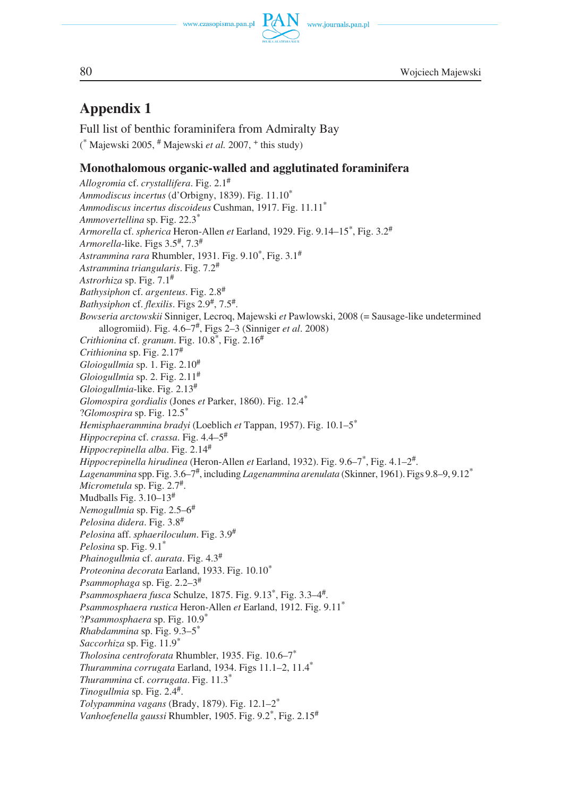www.journals.pan.pl



80 Wojciech Majewski

# **Appendix 1**

Full list of benthic foraminifera from Admiralty Bay ( \* Majewski 2005, # Majewski *et al.* 2007, <sup>+</sup> this study)

# **Monothalomous organic−walled and agglutinated foraminifera**

*Allogromia* cf. *crystallifera*. Fig. 2.1# *Ammodiscus incertus* (d'Orbigny, 1839). Fig. 11.10\* *Ammodiscus incertus discoideus* Cushman, 1917. Fig. 11.11\* *Ammovertellina* sp. Fig. 22.3\* *Armorella* cf. *spherica* Heron−Allen *et* Earland, 1929. Fig. 9.14–15\*, Fig. 3.2# *Armorella*−like. Figs 3.5#, 7.3# *Astrammina rara* Rhumbler, 1931. Fig. 9.10\*, Fig. 3.1# *Astrammina triangularis*. Fig. 7.2# *Astrorhiza* sp. Fig. 7.1# *Bathysiphon* cf. *argenteus*. Fig. 2.8# *Bathysiphon* cf. *flexilis*. Figs 2.9#, 7.5#. *Bowseria arctowskii* Sinniger, Lecroq, Majewski *et* Pawlowski, 2008 (= Sausage−like undetermined allogromiid). Fig. 4.6–7#, Figs 2–3 (Sinniger *et al*. 2008) *Crithionina* cf. *granum*. Fig. 10.8\*, Fig. 2.16# *Crithionina* sp. Fig. 2.17# *Gloiogullmia* sp. 1. Fig. 2.10# *Gloiogullmia* sp. 2. Fig. 2.11# *Gloiogullmia*−like. Fig. 2.13# *Glomospira gordialis* (Jones *et* Parker, 1860). Fig. 12.4\* ?*Glomospira* sp. Fig. 12.5\* *Hemisphaerammina bradyi* (Loeblich *et* Tappan, 1957). Fig. 10.1–5\* *Hippocrepina* cf. *crassa*. Fig. 4.4–5# *Hippocrepinella alba*. Fig. 2.14# *Hippocrepinella hirudinea* (Heron−Allen *et* Earland, 1932). Fig. 9.6–7\*, Fig. 4.1–2#. *Lagenammina* spp. Fig. 3.6–7#, including *Lagenammina arenulata* (Skinner, 1961). Figs 9.8–9, 9.12\* *Micrometula* sp. Fig. 2.7#. Mudballs Fig.  $3.10-13$ <sup>#</sup> *Nemogullmia* sp. Fig. 2.5–6# *Pelosina didera*. Fig. 3.8# *Pelosina* aff. *sphaeriloculum*. Fig. 3.9# *Pelosina* sp. Fig. 9.1\* *Phainogullmia* cf. *aurata*. Fig. 4.3# *Proteonina decorata* Earland, 1933. Fig. 10.10\* *Psammophaga* sp. Fig. 2.2–3# *Psammosphaera fusca* Schulze, 1875. Fig. 9.13\*, Fig. 3.3–4#. *Psammosphaera rustica* Heron−Allen *et* Earland, 1912. Fig. 9.11\* ?*Psammosphaera* sp. Fig. 10.9\* *Rhabdammina* sp. Fig. 9.3–5\* *Saccorhiza* sp. Fig. 11.9\* *Tholosina centroforata* Rhumbler, 1935. Fig. 10.6–7\* *Thurammina corrugata* Earland, 1934. Figs 11.1–2, 11.4\* *Thurammina* cf. *corrugata*. Fig. 11.3\* *Tinogullmia* sp. Fig. 2.4#. *Tolypammina vagans* (Brady, 1879). Fig. 12.1–2\* *Vanhoefenella gaussi* Rhumbler, 1905. Fig. 9.2\*, Fig. 2.15#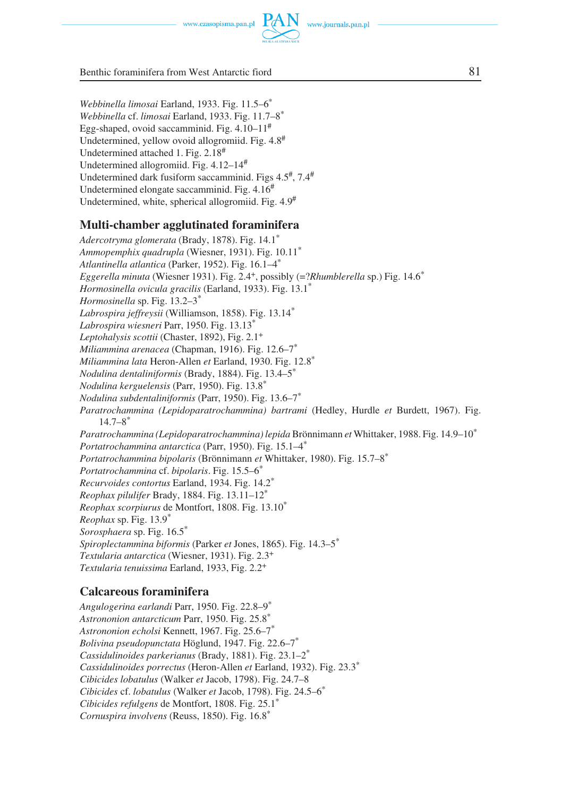www.journals.pan.pl



Benthic foraminifera from West Antarctic fiord 81

*Webbinella limosai* Earland, 1933. Fig. 11.5–6\* *Webbinella* cf. *limosai* Earland, 1933. Fig. 11.7–8\* Egg−shaped, ovoid saccamminid. Fig. 4.10–11# Undetermined, yellow ovoid allogromiid. Fig.  $4.8^{\#}$ Undetermined attached 1. Fig. 2.18<sup>#</sup> Undetermined allogromiid. Fig. 4.12–14# Undetermined dark fusiform saccamminid. Figs  $4.5^{\text{#}}$ ,  $7.4^{\text{#}}$ Undetermined elongate saccamminid. Fig. 4.16# Undetermined, white, spherical allogromiid. Fig. 4.9#

#### **Multi−chamber agglutinated foraminifera**

*Adercotryma glomerata* (Brady, 1878). Fig. 14.1\* *Ammopemphix quadrupla* (Wiesner, 1931). Fig. 10.11\* *Atlantinella atlantica* (Parker, 1952). Fig. 16.1–4\* *Eggerella minuta* (Wiesner 1931). Fig. 2.4+, possibly (=?*Rhumblerella* sp.) Fig. 14.6\* *Hormosinella ovicula gracilis* (Earland, 1933). Fig. 13.1\* *Hormosinella* sp. Fig. 13.2–3\* *Labrospira jeffreysii* (Williamson, 1858). Fig. 13.14\* *Labrospira wiesneri* Parr, 1950. Fig. 13.13\* *Leptohalysis scottii* (Chaster, 1892), Fig. 2.1+ *Miliammina arenacea* (Chapman, 1916). Fig. 12.6–7\* *Miliammina lata* Heron−Allen *et* Earland, 1930. Fig. 12.8\* *Nodulina dentaliniformis* (Brady, 1884). Fig. 13.4–5\* *Nodulina kerguelensis* (Parr, 1950). Fig. 13.8\* *Nodulina subdentaliniformis* (Parr, 1950). Fig. 13.6–7\* *Paratrochammina (Lepidoparatrochammina) bartrami* (Hedley, Hurdle *et* Burdett, 1967). Fig.  $14.7 - 8^*$ *Paratrochammina (Lepidoparatrochammina) lepida* Brönnimann *et* Whittaker, 1988. Fig. 14.9–10\* *Portatrochammina antarctica* (Parr, 1950). Fig. 15.1–4\* *Portatrochammina bipolaris* (Brönnimann *et* Whittaker, 1980). Fig. 15.7–8\* *Portatrochammina* cf. *bipolaris*. Fig. 15.5–6\* *Recurvoides contortus* Earland, 1934. Fig. 14.2\* *Reophax pilulifer* Brady, 1884. Fig. 13.11–12\* *Reophax scorpiurus* de Montfort, 1808. Fig. 13.10\* *Reophax* sp. Fig. 13.9\* *Sorosphaera* sp. Fig. 16.5\* *Spiroplectammina biformis* (Parker *et* Jones, 1865). Fig. 14.3–5\* *Textularia antarctica* (Wiesner, 1931). Fig. 2.3+ *Textularia tenuissima* Earland, 1933, Fig. 2.2+

### **Calcareous foraminifera**

*Angulogerina earlandi* Parr, 1950. Fig. 22.8–9\* *Astrononion antarcticum* Parr, 1950. Fig. 25.8\* *Astrononion echolsi* Kennett, 1967. Fig. 25.6–7\* *Bolivina pseudopunctata* Höglund, 1947. Fig. 22.6–7\* *Cassidulinoides parkerianus* (Brady, 1881). Fig. 23.1–2\* *Cassidulinoides porrectus* (Heron−Allen *et* Earland, 1932). Fig. 23.3\* *Cibicides lobatulus* (Walker *et* Jacob, 1798). Fig. 24.7–8 *Cibicides* cf. *lobatulus* (Walker *et* Jacob, 1798). Fig. 24.5–6\* *Cibicides refulgens* de Montfort, 1808. Fig. 25.1\* *Cornuspira involvens* (Reuss, 1850). Fig. 16.8\*